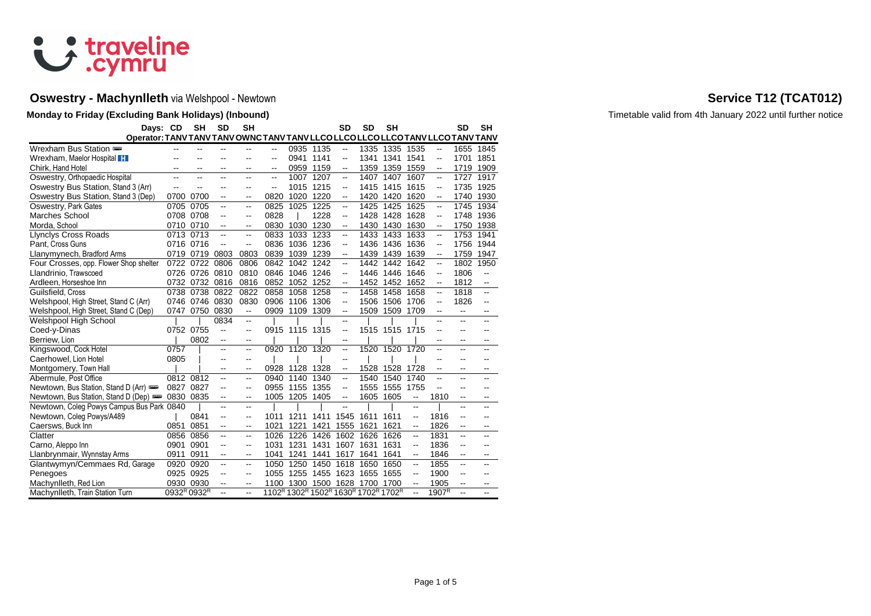

# **Oswestry - Machynlleth** via Welshpool - Newtown **Service T12 (TCAT012) Service T12 (TCAT012)**

| Days: CD                                                                        |           | <b>SH</b>      | <b>SD</b>      | <b>SH</b>                |      |                |                                                                                                             | <b>SD</b>                | <b>SD</b> | <b>SH</b>      |                          |                                | SD                       | SH   |
|---------------------------------------------------------------------------------|-----------|----------------|----------------|--------------------------|------|----------------|-------------------------------------------------------------------------------------------------------------|--------------------------|-----------|----------------|--------------------------|--------------------------------|--------------------------|------|
| Operator: TANV TANV TANV OWNC TANV TANV LLCO LLCO LLCO LLCO TANV LLCO TANV TANV |           |                |                |                          |      |                |                                                                                                             |                          |           |                |                          |                                |                          |      |
| Wrexham Bus Station                                                             | --        |                |                |                          | --   |                | 0935 1135                                                                                                   | --                       | 1335      | 1335 1535      |                          | --                             | 1655                     | 1845 |
| Wrexham, Maelor Hospital H                                                      |           |                |                |                          | --   |                | 0941 1141                                                                                                   | --                       | 1341      | 1341           | 1541                     | --                             | 1701                     | 1851 |
| Chirk, Hand Hotel                                                               |           |                | --             | --                       | --   |                | 0959 1159                                                                                                   | --                       | 1359      | 1359 1559      |                          | --                             | 1719                     | 1909 |
| Oswestry, Orthopaedic Hospital                                                  |           |                |                |                          | ۵.   | 1007           | 1207                                                                                                        | --                       | 1407      | 1407           | 1607                     | --                             | 1727                     | 1917 |
| Oswestry Bus Station, Stand 3 (Arr)                                             | --        |                |                |                          | --   | 1015           | 1215                                                                                                        | --                       | 1415      | 1415           | 1615                     | --                             | 1735                     | 1925 |
| Oswestry Bus Station, Stand 3 (Dep)                                             | 0700      | 0700           | $\overline{a}$ | $\overline{a}$           | 0820 | 1020           | 1220                                                                                                        | --                       | 1420      | 1420           | 1620                     | $\overline{\phantom{a}}$       | 1740                     | 1930 |
| Oswestry, Park Gates                                                            | 0705      | 0705           |                | $\overline{\phantom{a}}$ | 0825 | 1025           | 1225                                                                                                        | --                       | 1425      | 1425           | 1625                     | --                             | 1745                     | 1934 |
| Marches School                                                                  | 0708      | 0708           |                | $\overline{\phantom{a}}$ | 0828 |                | 1228                                                                                                        | $\overline{a}$           | 1428      | 1428           | 1628                     | $\overline{\phantom{a}}$       | 1748                     | 1936 |
| Morda, School                                                                   | 0710      | 0710           | --             | $\overline{\phantom{a}}$ | 0830 | 1030           | 1230                                                                                                        | --                       | 1430      | 1430           | 1630                     | --                             | 1750                     | 1938 |
| <b>Llynclys Cross Roads</b>                                                     | 0713      | 0713           | --             | $\overline{\phantom{a}}$ | 0833 | 1033           | 1233                                                                                                        | --                       | 1433      | 1433           | 1633                     | --                             | 1753                     | 1941 |
| Pant, Cross Guns                                                                | 0716 0716 |                | --             | $\overline{\phantom{a}}$ | 0836 | 1036 1236      |                                                                                                             | --                       | 1436      | 1436           | 1636                     | --                             | 1756                     | 1944 |
| Llanymynech, Bradford Arms                                                      | 0719      | 0719           | 0803           | 0803                     | 0839 |                | 1039 1239                                                                                                   | --                       | 1439      | 1439           | 1639                     | --                             | 1759                     | 1947 |
| Four Crosses, opp. Flower Shop shelter                                          | 0722      | 0722           | 0806           | 0806                     | 0842 | 1042 1242      |                                                                                                             | --                       | 1442      | 1442           | 1642                     | --                             | 1802                     | 1950 |
| Llandrinio, Trawscoed                                                           | 0726      | 0726 0810      |                | 0810                     | 0846 | 1046 1246      |                                                                                                             | --                       | 1446      | 1446 1646      |                          | $\overline{\phantom{a}}$       | 1806                     | --   |
| Ardleen, Horseshoe Inn                                                          |           | 0732 0732 0816 |                | 0816                     | 0852 | 1052 1252      |                                                                                                             | --                       | 1452      | 1452 1652      |                          | --                             | 1812                     | --   |
| Guilsfield, Cross                                                               | 0738      | 0738           | 0822           | 0822                     | 0858 | 1058           | 1258                                                                                                        | --                       | 1458      | 1458           | 1658                     | --                             | 1818                     | --   |
| Welshpool, High Street, Stand C (Arr)                                           | 0746      | 0746           | 0830           | 0830                     | 0906 | 1106           | 1306                                                                                                        | --                       | 1506      | 1506           | 1706                     | Щ,                             | 1826                     | Ξ.   |
| Welshpool, High Street, Stand C (Dep)                                           | 0747      | 0750           | 0830           | $\overline{a}$           |      | 0909 1109      | 1309                                                                                                        | $\overline{\phantom{a}}$ | 1509      | 1509           | 1709                     | --                             | --                       |      |
| Welshpool High School                                                           |           |                | 0834           | $\overline{\phantom{a}}$ |      |                |                                                                                                             | --                       |           |                |                          |                                |                          |      |
| Coed-y-Dinas                                                                    |           | 0752 0755      | --             | $\overline{\phantom{a}}$ |      | 0915 1115 1315 |                                                                                                             | --                       |           | 1515 1515 1715 |                          |                                |                          |      |
| Berriew, Lion                                                                   |           | 0802           | н.             | $\overline{\phantom{a}}$ |      |                |                                                                                                             | --                       |           |                |                          | --                             | --                       |      |
| Kingswood, Cock Hotel                                                           | 0757      |                | --             | $\mathbf{u}$             |      | 0920 1120 1320 |                                                                                                             | --                       |           | 1520 1520 1720 |                          |                                | ۵.                       |      |
| Caerhowel, Lion Hotel                                                           | 0805      |                | --             | $\overline{\phantom{m}}$ |      |                |                                                                                                             | --                       |           |                |                          |                                |                          |      |
| Montgomery, Town Hall                                                           |           |                | --             | $\overline{\phantom{a}}$ |      | 0928 1128 1328 |                                                                                                             | --                       | 1528      | 1528           | 1728                     | --                             | --                       |      |
| Abermule, Post Office                                                           | 0812      | 0812           | --             | $\sim$                   | 0940 | 1140           | 1340                                                                                                        | --                       | 1540      | 1540           | 1740                     | ۵.                             |                          |      |
| Newtown, Bus Station, Stand D (Arr)                                             | 0827      | 0827           | --             | $\overline{\phantom{a}}$ | 0955 | 1155           | 1355                                                                                                        | --                       | 1555      | 1555           | 1755                     | --                             | --                       |      |
| Newtown, Bus Station, Stand D (Dep)                                             | 0830      | 0835           | $\overline{a}$ | $\overline{\phantom{a}}$ |      | 1005 1205 1405 |                                                                                                             | $\overline{\phantom{a}}$ | 1605      | 1605           | $\overline{\phantom{a}}$ | 1810                           | $\overline{a}$           |      |
| Newtown, Coleg Powys Campus Bus Park 0840                                       |           |                | --             | $\overline{a}$           |      |                |                                                                                                             | --                       |           |                | $\overline{a}$           |                                | --                       |      |
| Newtown, Coleg Powys/A489                                                       |           | 0841           | --             | $\overline{\phantom{a}}$ | 1011 | 1211           | 1411                                                                                                        | 1545                     | 1611      | 1611           | --                       | 1816                           | --                       |      |
| Caersws, Buck Inn                                                               | 0851      | 0851           | --             | $\sim$                   | 1021 | 1221           | 1421                                                                                                        | 1555                     | 1621      | 1621           | $\overline{\phantom{a}}$ | 1826                           | $\overline{\phantom{a}}$ |      |
| Clatter                                                                         | 0856      | 0856           | Ξ.             | $\mathbf{u}$             | 1026 | 1226           | 1426                                                                                                        | 1602                     | 1626      | 1626           | $\overline{\phantom{a}}$ | 1831                           | Ξ.                       | --   |
| Carno, Aleppo Inn                                                               | 0901      | 0901           | --             | $-$                      | 1031 | 1231           | 1431                                                                                                        | 1607                     | 1631      | 1631           | --                       | 1836                           | --                       |      |
| Llanbrynmair, Wynnstay Arms                                                     | 0911      | 0911           | --             | $\overline{\phantom{a}}$ | 1041 | 1241           | 1441                                                                                                        | 1617                     | 1641      | 1641           | --                       | 1846                           | $\overline{\phantom{a}}$ | --   |
| Glantwymyn/Cemmaes Rd, Garage                                                   | 0920      | 0920           | --             | $\overline{\phantom{a}}$ | 1050 | 1250           | 1450                                                                                                        | 1618                     | 1650      | 1650           | --                       | 1855                           | --                       | --   |
| Penegoes                                                                        | 0925      | 0925           |                | $\overline{\phantom{a}}$ | 1055 | 1255           | 1455                                                                                                        | 1623                     | 1655      | 1655           | --                       | 1900                           | --                       |      |
| Machynlleth, Red Lion                                                           | 0930      | 0930           |                | $\overline{\phantom{a}}$ | 1100 | 1300           | 1500                                                                                                        | 1628                     | 1700      | 1700           | --                       | 1905                           | ۵.                       |      |
| Machynlleth, Train Station Turn                                                 |           | 0932R 0932R    |                | $\overline{a}$           |      |                | 1102 <sup>R</sup> 1302 <sup>R</sup> 1502 <sup>R</sup> 1630 <sup>R</sup> 1702 <sup>R</sup> 1702 <sup>R</sup> |                          |           |                |                          | $190\overline{7}$ <sup>R</sup> |                          |      |

**Monday to Friday (Excluding Bank Holidays) (Inbound)** Timetable valid from 4th January 2022 until further notice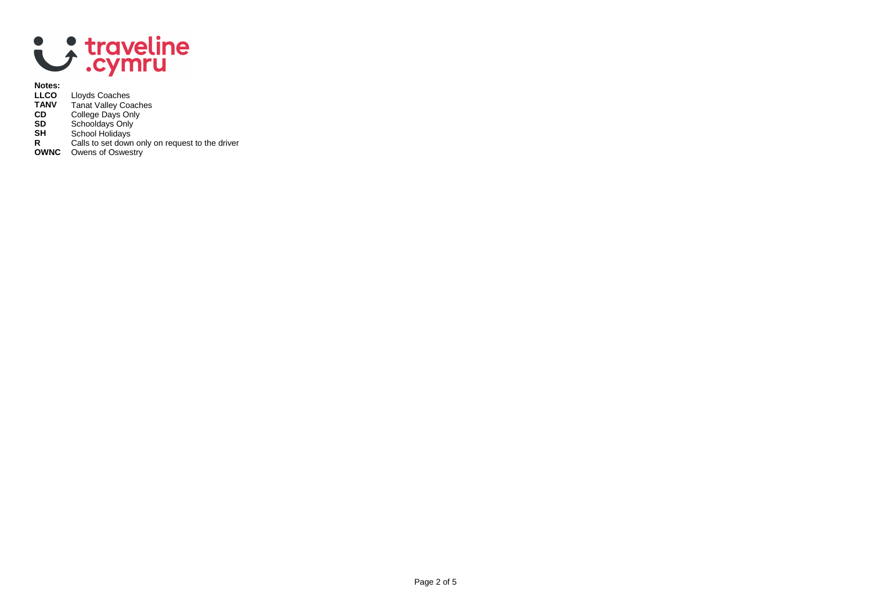

# **Notes:**

- **LLCO** Lloyds Coaches
- **TANV** Tanat Valley Coaches
- **CD** College Days Only
- **SD** Schooldays Only
- **SH** School Holidays
- **R** Calls to set down only on request to the driver
- **OWNC** Owens of Oswestry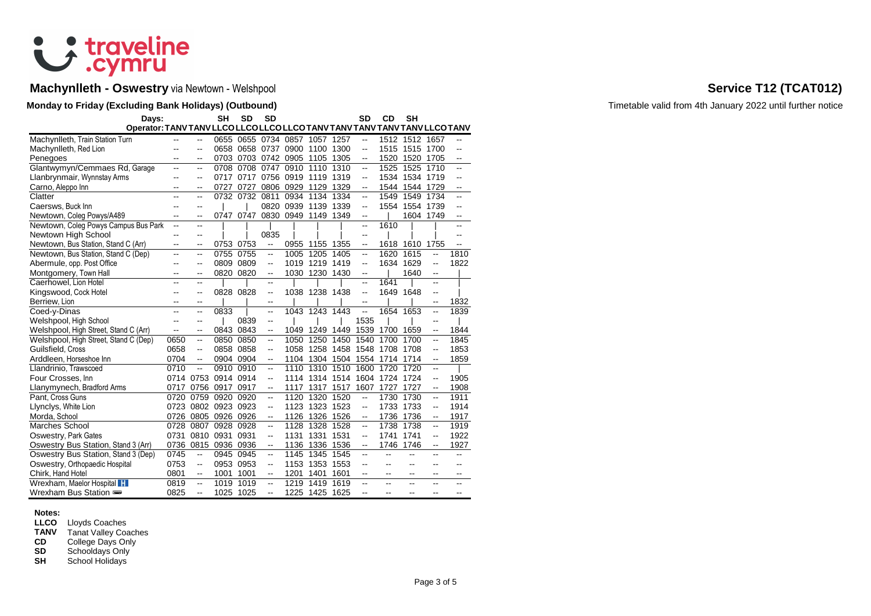

# **Machynlleth - Oswestry** via Newtown - Welshpool **Service T12 (TCAT012)**

## **Monday to Friday (Excluding Bank Holidays) (Outbound) Timetable valid from 4th January 2022 until further notice**

| Days:                                                                      |                |                          | <b>SH</b> | <b>SD</b> | <b>SD</b>                |                |                     |      | <b>SD</b>                | CD   | <b>SH</b>      |                          |                          |
|----------------------------------------------------------------------------|----------------|--------------------------|-----------|-----------|--------------------------|----------------|---------------------|------|--------------------------|------|----------------|--------------------------|--------------------------|
| Operator: TANV TANV LLCO LLCO LLCO LLCO TANV TANV TANV TANV TANV LLCO TANV |                |                          |           |           |                          |                |                     |      |                          |      |                |                          |                          |
| Machynlleth, Train Station Turn                                            | --             |                          | 0655      | 0655      |                          |                | 0734 0857 1057 1257 |      | $\overline{\phantom{a}}$ |      | 1512 1512 1657 |                          | $\overline{\phantom{a}}$ |
| Machynlleth, Red Lion                                                      |                | ۵.                       | 0658      | 0658      | 0737                     | 0900           | 1100                | 1300 | $\overline{a}$           | 1515 | 1515           | 1700                     | $\overline{a}$           |
| Penegoes                                                                   |                | --                       | 0703      |           | 0703 0742 0905 1105      |                |                     | 1305 | $\overline{a}$           | 1520 | 1520           | 1705                     | $\overline{a}$           |
| Glantwymyn/Cemmaes Rd, Garage                                              | ۵.             | $\overline{\phantom{a}}$ | 0708      | 0708      | 0747                     | 0910           | 1110                | 1310 | цü.                      | 1525 | 1525           | 1710                     | Ξ.                       |
| Llanbrynmair, Wynnstay Arms                                                | --             | $\overline{a}$           | 0717      |           | 0717 0756 0919 1119      |                |                     | 1319 | $\overline{\phantom{a}}$ | 1534 | 1534 1719      |                          | $\overline{a}$           |
| Carno, Aleppo Inn                                                          | --             | --                       | 0727      | 0727      | 0806                     | 0929           | 1129                | 1329 | $\overline{\phantom{a}}$ | 1544 | 1544           | 1729                     | --                       |
| Clatter                                                                    | ۵.             | $\overline{\phantom{a}}$ | 0732      | 0732      | 0811                     | 0934           | 1134                | 1334 | $\overline{\phantom{a}}$ | 1549 | 1549           | 1734                     | $\overline{a}$           |
| Caersws, Buck Inn                                                          | $-$            | --                       |           |           | 0820                     | 0939           | 1139                | 1339 | $\mathbf{u}$             |      | 1554 1554      | 1739                     | $\overline{a}$           |
| Newtown, Coleg Powys/A489                                                  | --             | --                       | 0747      | 0747      |                          | 0830 0949 1149 |                     | 1349 | $\overline{\phantom{a}}$ |      | 1604 1749      |                          | --                       |
| Newtown, Coleg Powys Campus Bus Park                                       | $\overline{a}$ | $\overline{\phantom{a}}$ |           |           |                          |                |                     |      | $\overline{a}$           | 1610 |                |                          |                          |
| Newtown High School                                                        | $-$            | --                       |           |           | 0835                     |                |                     |      | $\overline{a}$           |      |                |                          |                          |
| Newtown, Bus Station, Stand C (Arr)                                        | $\overline{a}$ | --                       | 0753      | 0753      | $\overline{\phantom{a}}$ | 0955           | 1155                | 1355 | $\overline{\phantom{a}}$ |      | 1618 1610      | 1755                     | $\overline{\phantom{a}}$ |
| Newtown, Bus Station, Stand C (Dep)                                        | --             | --                       | 0755      | 0755      | --                       | 1005           | 1205                | 1405 | $\mathbf{u}$             | 1620 | 1615           | --                       | 1810                     |
| Abermule, opp. Post Office                                                 | --             | $-$                      | 0809      | 0809      | $\overline{a}$           | 1019           | 1219                | 1419 | $\overline{\phantom{a}}$ |      | 1634 1629      | $\overline{a}$           | 1822                     |
| Montgomery, Town Hall                                                      | $-$            | $-$                      | 0820      | 0820      | $\overline{\phantom{a}}$ | 1030           | 1230                | 1430 | --                       |      | 1640           | $\overline{a}$           |                          |
| Caerhowel, Lion Hotel                                                      | $-$            | --                       |           |           | --                       |                |                     |      | шш.                      | 1641 |                | $\overline{a}$           |                          |
| Kingswood, Cock Hotel                                                      | --             | --                       | 0828      | 0828      | $\overline{\phantom{a}}$ |                | 1038 1238 1438      |      | $\overline{\phantom{a}}$ | 1649 | 1648           | $\sim$                   |                          |
| Berriew, Lion                                                              | --             | $\overline{\phantom{a}}$ |           |           | $\overline{\phantom{a}}$ |                |                     |      | $\mathbf{u}$             |      |                | $\overline{\phantom{a}}$ | 1832                     |
| Coed-y-Dinas                                                               | $\overline{a}$ | --                       | 0833      |           | $\overline{\phantom{a}}$ | 1043           | 1243                | 1443 | $\overline{a}$           |      | 1654 1653      | ш.                       | 1839                     |
| Welshpool, High School                                                     | --             | --                       |           | 0839      | --                       |                |                     |      | 1535                     |      |                | --                       |                          |
| Welshpool, High Street, Stand C (Arr)                                      | --             | --                       | 0843      | 0843      | --                       | 1049           | 1249                | 1449 | 1539                     | 1700 | 1659           | --                       | 1844                     |
| Welshpool, High Street, Stand C (Dep)                                      | 0650           | $\overline{\phantom{a}}$ | 0850      | 0850      | $\overline{\phantom{a}}$ | 1050           | 1250                | 1450 | 1540                     | 1700 | 1700           | --                       | 1845                     |
| Guilsfield, Cross                                                          | 0658           | --                       | 0858      | 0858      | --                       | 1058           | 1258                | 1458 | 1548                     | 1708 | 1708           | $\overline{a}$           | 1853                     |
| Arddleen, Horseshoe Inn                                                    | 0704           | --                       | 0904      | 0904      | $\overline{\phantom{a}}$ | 1104           | 1304                | 1504 | 1554                     | 1714 | 1714           | $\overline{\phantom{a}}$ | 1859                     |
| Llandrinio, Trawscoed                                                      | 0710           | Ξ.                       | 0910      | 0910      | Ξ.                       | 1110           | 1310                | 1510 | 1600                     | 1720 | 1720           | ц.                       |                          |
| Four Crosses, Inn                                                          |                | 0714 0753                | 0914      | 0914      | $\overline{\phantom{a}}$ | 1114           | 1314 1514           |      | 1604                     | 1724 | 1724           | $\overline{\phantom{a}}$ | 1905                     |
| Llanymynech, Bradford Arms                                                 | 0717           | 0756                     | 0917      | 0917      | --                       | 1117           | 1317                | 1517 | 1607                     | 1727 | 1727           | --                       | 1908                     |
| Pant, Cross Guns                                                           | 0720           | 0759                     | 0920      | 0920      | $\ddot{\phantom{a}}$     | 1120           | 1320                | 1520 | $\overline{a}$           | 1730 | 1730           | --                       | 1911                     |
| Llynclys, White Lion                                                       | 0723           |                          | 0802 0923 | 0923      | $\overline{\phantom{a}}$ | 1123           | 1323                | 1523 | $\mathbf{u}$             | 1733 | 1733           | --                       | 1914                     |
| Morda, School                                                              | 0726           | 0805                     | 0926      | 0926      | $\overline{\phantom{a}}$ | 1126           | 1326                | 1526 | $\overline{\phantom{a}}$ | 1736 | 1736           | $\overline{\phantom{a}}$ | 1917                     |
| <b>Marches School</b>                                                      | 0728           | 0807                     | 0928      | 0928      | $\ddot{\phantom{a}}$     | 1128           | 1328                | 1528 | $\overline{a}$           | 1738 | 1738           | ц.                       | 1919                     |
| Oswestry, Park Gates                                                       | 0731           | 0810 0931                |           | 0931      | $\overline{\phantom{a}}$ | 1131           | 1331                | 1531 | $\overline{\phantom{a}}$ | 1741 | 1741           | $\overline{\phantom{a}}$ | 1922                     |
| Oswestry Bus Station, Stand 3 (Arr)                                        | 0736           | 0815                     | 0936      | 0936      | $\overline{\phantom{a}}$ | 1136           | 1336                | 1536 | $\overline{\phantom{a}}$ | 1746 | 1746           | $\overline{\phantom{a}}$ | 1927                     |
| Oswestry Bus Station, Stand 3 (Dep)                                        | 0745           | --                       | 0945      | 0945      | $\overline{a}$           | 1145           | 1345                | 1545 | $\overline{\phantom{a}}$ | --   | --             | --                       | --                       |
| Oswestry, Orthopaedic Hospital                                             | 0753           | --                       | 0953      | 0953      | --                       | 1153           | 1353                | 1553 |                          | --   | --             | --                       |                          |
| Chirk, Hand Hotel                                                          | 0801           | --                       | 1001      | 1001      | --                       | 1201           | 1401                | 1601 | $-$                      | $-$  | --             | --                       | --                       |
| Wrexham, Maelor Hospital <b>H</b>                                          | 0819           | $\overline{\phantom{a}}$ | 1019      | 1019      | --                       | 1219           | 1419                | 1619 | --                       | --   | --             | $\sim$                   | --                       |
| Wrexham Bus Station                                                        | 0825           | --                       | 1025 1025 |           | $\overline{a}$           |                | 1225 1425           | 1625 | $\overline{a}$           | --   | --             | --                       | $\overline{a}$           |

### **Notes:**

**LLCO** Lloyds Coaches

**TANV** Tanat Valley Coaches<br>**CD** College Days Only

**CD** College Days Only<br>**SD** Schooldays Only

**SD** Schooldays Only<br>**SH** School Holidays

School Holidays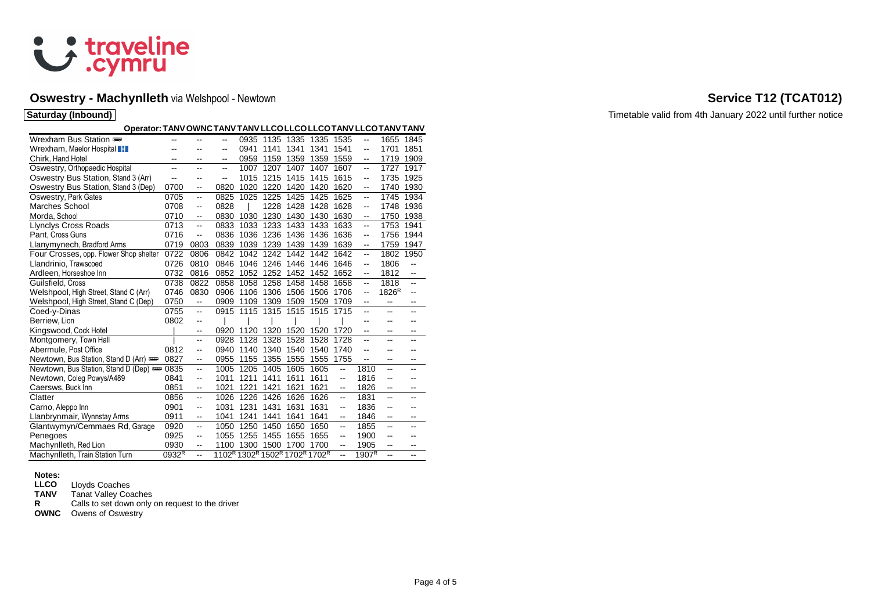

## **Oswestry - Machynlleth** via Welshpool - Newtown **Service T12 (TCAT012) Service T12 (TCAT012)**

| <b>Saturday (Inbound)</b>                                        |                          |                          |               |      |                               |                |           |                          |                   |                   |                          |
|------------------------------------------------------------------|--------------------------|--------------------------|---------------|------|-------------------------------|----------------|-----------|--------------------------|-------------------|-------------------|--------------------------|
| Operator: TANV OWNC TANV TANV LLCO LLCO LLCO TANV LLCO TANV TANV |                          |                          |               |      |                               |                |           |                          |                   |                   |                          |
| Wrexham Bus Station                                              | $\overline{\phantom{a}}$ |                          | --            |      | 0935 1135 1335 1335 1535      |                |           |                          | $\sim$ $\sim$     |                   | 1655 1845                |
| Wrexham, Maelor Hospital                                         | $\sim$                   | $\overline{\phantom{a}}$ |               | 0941 | 1141 1341                     |                | 1341      | 1541                     | $\sim$            | 1701 1851         |                          |
| Chirk, Hand Hotel                                                | $\overline{a}$           | $\overline{\phantom{a}}$ | --            |      | 0959 1159 1359 1359           |                |           | 1559                     | $\bullet\bullet$  |                   | 1719 1909                |
| Oswestry, Orthopaedic Hospital                                   | $\sim$ $\sim$            | $\sim$                   | --            | 1007 | 1207                          | 1407           | 1407      | 1607                     | $\sim$ $\sim$     |                   | 1727 1917                |
| Oswestry Bus Station, Stand 3 (Arr)                              | $\sim$                   | $\sim$                   | $\sim$ $\sim$ | 1015 | 1215                          | 1415 1415      |           | 1615                     | $\sim$            |                   | 1735 1925                |
| Oswestry Bus Station, Stand 3 (Dep)                              | 0700                     | $\sim$                   | 0820          | 1020 | 1220                          | 1420           | 1420      | 1620                     | $\sim$ $\sim$     |                   | 1740 1930                |
| Oswestry, Park Gates                                             | 0705                     | $\sim$                   | 0825          | 1025 | 1225                          | 1425           | 1425      | 1625                     | $\sim$            | 1745 1934         |                          |
| Marches School                                                   | 0708                     | $\sim$                   | 0828          |      |                               | 1228 1428 1428 |           | 1628                     | $\sim$            | 1748 1936         |                          |
| Morda, School                                                    | 0710                     | $\sim$                   | 0830          |      | 1030 1230                     |                | 1430 1430 | 1630                     | $\sim$            | 1750 1938         |                          |
| <b>Llynclys Cross Roads</b>                                      | 0713                     | $\sim$                   | 0833          |      | 1033 1233 1433 1433 1633      |                |           |                          |                   | 1753 1941         |                          |
| Pant, Cross Guns                                                 | 0716                     |                          | 0836          |      | 1036 1236 1436 1436           |                |           | 1636                     |                   | 1756 1944         |                          |
| Llanymynech, Bradford Arms                                       | 0719                     | 0803                     | 0839          |      | 1039 1239 1439 1439           |                |           | 1639                     | $\sim$            | 1759 1947         |                          |
| Four Crosses, opp. Flower Shop shelter                           | 0722                     | 0806                     | 0842          |      | 1042 1242 1442 1442 1642      |                |           |                          |                   |                   | 1802 1950                |
| Llandrinio, Trawscoed                                            |                          | 0726 0810                | 0846          |      | 1046 1246 1446 1446 1646      |                |           |                          |                   | 1806              | $\sim$                   |
| Ardleen, Horseshoe Inn                                           |                          | 0732 0816                | 0852          |      | 1052 1252 1452 1452 1652      |                |           |                          | $\sim$            | 1812              | $\bullet\bullet$         |
| Guilsfield, Cross                                                | 0738                     | 0822                     | 0858          |      | 1058 1258 1458 1458 1658      |                |           |                          | $-$               | 1818              | $\sim$                   |
| Welshpool, High Street, Stand C (Arr)                            | 0746                     | 0830                     |               |      | 0906 1106 1306 1506 1506 1706 |                |           |                          | $\sim$            | 1826 <sup>R</sup> | $\mathbf{u}$             |
|                                                                  | 0750                     |                          | 0909          |      |                               |                |           | 1709                     |                   |                   |                          |
| Welshpool, High Street, Stand C (Dep)                            |                          | $\overline{\phantom{a}}$ |               |      | 1109 1309 1509 1509           |                |           |                          | $\sim$ $\sim$     |                   | $\sim$ $\sim$            |
| Coed-y-Dinas                                                     | 0755                     | $\sim$                   |               |      | 0915 1115 1315 1515 1515 1715 |                |           |                          |                   |                   |                          |
| Berriew, Lion                                                    | 0802                     | $\sim$                   |               |      |                               |                |           |                          |                   |                   |                          |
| Kingswood, Cock Hotel                                            |                          | $\sim$                   |               |      | 0920 1120 1320 1520 1520 1720 |                |           |                          | $\sim$ $\sim$     |                   | --                       |
| Montgomery, Town Hall                                            |                          | $\overline{\phantom{a}}$ | 0928          |      | 1128 1328 1528 1528 1728      |                |           |                          |                   |                   |                          |
| Abermule, Post Office                                            | 0812                     | $\sim$                   |               |      | 0940 1140 1340 1540 1540 1740 |                |           |                          |                   |                   |                          |
| Newtown, Bus Station, Stand D (Arr)                              | 0827                     | $\sim$                   | 0955          |      | 1155 1355 1555 1555 1755      |                |           |                          | $\sim$ $\sim$     |                   |                          |
| Newtown, Bus Station, Stand D (Dep) = 0835                       |                          | $\sim$                   | 1005          |      | 1205 1405                     | 1605 1605      |           | $\sim$                   | 1810              |                   |                          |
| Newtown, Coleg Powys/A489                                        | 0841                     | $\sim$                   | 1011          |      | 1211 1411 1611                |                | 1611      | $\sim$                   | 1816              |                   |                          |
| Caersws, Buck Inn                                                | 0851                     | $\sim$                   | 1021          | 1221 | 1421                          | 1621           | 1621      | $\mathbf{u}$             | 1826              | $\sim$            | $\overline{\phantom{a}}$ |
| Clatter                                                          | 0856                     | $\sim$                   | 1026          | 1226 | 1426                          | 1626           | 1626      | $\overline{\phantom{a}}$ | 1831              | $\overline{a}$    |                          |
| Carno, Aleppo Inn                                                | 0901                     | $\sim$                   | 1031          | 1231 | 1431                          | 1631           | 1631      | $\sim$                   | 1836              |                   |                          |
| Llanbrynmair, Wynnstay Arms                                      | 0911                     | $\sim$                   | 1041          | 1241 | 1441                          | 1641           | 1641      | $\sim$                   | 1846              | $\sim$            | $\overline{\phantom{a}}$ |
| Glantwymyn/Cemmaes Rd, Garage                                    | 0920                     | $\sim$                   | 1050          |      | 1250 1450                     |                | 1650 1650 | $\sim$                   | 1855              | --                |                          |
| Penegoes                                                         | 0925                     | $\sim$                   | 1055          |      | 1255 1455                     |                | 1655 1655 | $\overline{\phantom{a}}$ | 1900              |                   |                          |
| Machynlleth, Red Lion                                            | 0930                     | $\overline{\phantom{m}}$ | 1100          |      | 1300 1500 1700 1700           |                |           | $\mathbf{u}$             | 1905              | $\sim$            |                          |
| Machynlleth, Train Station Turn                                  | $0932^R$                 |                          |               |      | 1102R 1302R 1502R 1702R 1702R |                |           | $\mathbf{u}$             | 1907 <sup>R</sup> |                   |                          |

# **Notes:**

**LLCO** Lloyds Coaches<br> **TANV** Tanat Valley Coa

**TANV** Tanat Valley Coaches<br>**R** Calls to set down only

Calls to set down only on request to the driver

**OWNC** Owens of Oswestry